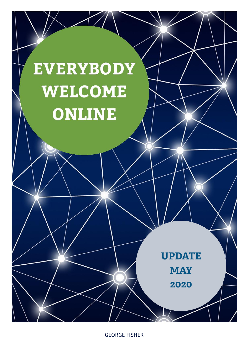

GEORGE FISHER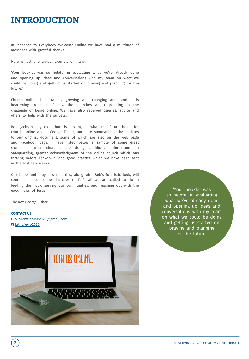# **INTRODUCTION**

In response to Everybody Welcome Online we have had a multitude of messages with grateful thanks.

Here is just one typical example of many:

'Your booklet was so helpful in evaluating what we've already done and opening up ideas and conversations with my team on what we could be doing and getting us started on praying and planning for the future.'

Church online is a rapidly growing and changing area and it is heartening to hear of how the churches are responding to the challenge of being online. We have also received queries, advice and offers to help with the surveys.

Bob Jackson, my co-author, is looking at what the future holds for church online and I, George Fisher, am here summarising the updates to our original document, some of which are also on the web page and Facebook page. I have listed below a sample of some great stories of what churches are doing, additional information on Safeguarding, greater acknowledgment of the online church which was thriving before Lockdown, and good practice which we have been sent in the last few weeks.

Our hope and prayer is that this, along with Bob's futuristic look, will continue to equip the churches to fulfil all we are called to do in feeding the flock, serving our communities, and reaching out with the good news of Jesus.

The Rev George Fisher

#### **CONTACT US**

**E** [allarewelcome2](http://bit.ly/ewo2020)020@gmail.com **W** bit.ly/ewo2020



'Your booklet was so helpful in evaluating what we've already done and opening up ideas and conversations with my team on what we could be doing and getting us started on praying and planning for the future.'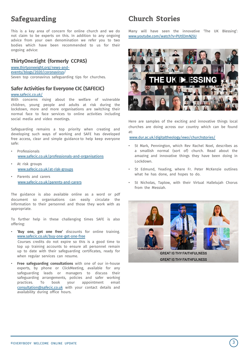This is a key area of concern for online church and we do not claim to be experts on this. In addition to any ongoing advice from your own denomination we refer you to two bodies which have been recommended to us for their ongoing advice:

### **ThirtyOne:Eight (formerly CCPAS)**

[www.thirtyoneeight.org/news-and-](http://www.thirtyoneeight.org/news-and-events/blogs/2020/coronavirus)

events/blogs/2020/coronavirus/

Seven top coronavirus safeguarding tips for churches.

### **Safer [Activities](https://www.safecic.co.uk/) for Everyone CIC (SAFECIC)**

### www.safecic.co.uk/

With concerns rising about the welfare of vulnerable children, young people and adults at risk during the lockdown, more and more organisations are switching their normal face to face services to online activities including social media and video meetings.

Safeguarding remains a top priority when creating and developing such ways of working and SAFE has developed free access, clear and simple guidance to help keep everyone safe:

- [Professionals](https://www.safecic.co.uk/professionals-and-organisations) www.safecic.co.uk/professionals-and-organisations
- At risk [groups](https://www.safecic.co.uk/at-risk-groups) www.safecic.co.uk/at-risk-groups
- [Parents](http://www.safecic.co.uk/parents-and-carers) and carers www.safecic.co.uk/parents-and-carers

The guidance is also available online as a word or pdf document so organisations can easily circulate the information to their personnel and those they work with as appropriate.

To further help in these challenging times SAFE is also offering:

• **'Buy one, get one free'** [discounts](http://www.safecic.co.uk/buy-one-get-one-free) for online training. www.safecic.co.uk/buy-one-get-one-free

Courses credits do not expire so this is a good time to top up training accounts to ensure all personnel remain up to date with their safeguarding certificates, ready for when regular services can resume.

• **Free safeguarding consultations** with one of our in-house experts, by phone or ClickMeeting, available for any safeguarding leads or managers to discuss their safeguarding arrangements, policies and safer working practices. To book your appointment email consultation@safecic.co.uk with your contact details and availability during office hours.

# **Safeguarding Church Stories**

Many will have seen the [innovativ](http://www.youtube.com/watch%3Fv=PUtll3mNj5U)e 'The UK Blessing': www.youtube.com/watch?v=PUtll3mNj5U



Here are samples of the exciting and innovative things local churches are doing across our country which can be found [at:](http://www.dur.ac.uk/digitaltheology/ewo/churchstories/)

www.dur.ac.uk/digitaltheology/ewo/churchstories/

- St Mark, Pennington, which Rev Rachel Noel, describes as a smallish normal (sort of) church. Read about the amazing and innovative things they have been doing in Lockdown.
- St Edmund, Yeading, where Fr. Peter McKenzie outlines what he has done, and hopes to do.
- St Nicholas, Taplow, with their Virtual Hallelujah Chorus from the Messiah.

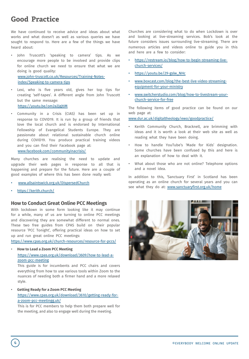## **Good Practice**

We have continued to receive advice and ideas about what works and what doesn't as well as various queries we have sought to respond to. Here are a few of the things we have heard about:

John Truscott's 'speaking to camera' tips. As we encourage more people to be involved and provide clips for online church we need to ensure that what we are doing is good quality:

[www.john-truscott.co.uk/Resources/Training-Notes](http://www.john-truscott.co.uk/Resources/Training-Notes-index/Speaking-to-camera-tips)index/Speaking-to-camera-tips

- Lexi, who is five years old, gives her top tips for creating 'self-tapes'. A different angle from John Truscott but the same [message:](https://youtu.be/om2a2jgjtIM) https://youtu.be/om2a2jgjtIM
- Community in a Crisis (CIAS) has been set up in response to COVID19. It is run by a group of friends that love the local church and is endorsed by International Fellowship of Evangelical Students Europe. They are passionate about relational sustainable church online during COVID19. You produce practical training videos and you can find their [Facebook](http://www.facebook.com/communityinacrisis/) page at: www.facebook.com/communityinacrisis/

Many churches are realising the need to update and upgrade their web pages in response to all that is happening and prepare for the future. Here are a couple of good [examples](http://www.allsaintswick.org.uk/DispersedChurch) of where this has been done really well:

- [www.allsaintswick.org](https://kerith.church/).uk/DispersedChurch
- https://kerith.church/

### **How to Conduct Great Online PCC Meetings**

With lockdown in some form looking like it may continue for a while, many of us are turning to online PCC meetings and discovering they are somewhat different to normal ones. These two free guides from CPAS build on their popular resource 'PCC Tonight', offering practical ideas on how to set up and run great online PCC [meetings:](https://www.cpas.org.uk/church-resources/resource-for-pccs/)

https://www.cpas.org.uk/church-resources/resource-for-pccs/

• **How to Lead a Zoom PCC Meeting**

### [https://www.cpas.org.uk/download/3609/how-to-lead-a](https://www.cpas.org.uk/download/3609/how-to-lead-a-zoom-pcc-meeting)zoom-pcc-meeting

This guide is for incumbents and PCC chairs and covers everything from how to use various tools within Zoom to the nuances of needing both a firmer hand and a more relaxed style.

• **Getting Ready for a Zoom PCC Meeting** [https://www.cpas.org.uk/download/3610/getting-ready-for](https://www.cpas.org.uk/download/3610/getting-ready-for-a-zoom-pcc-meetingg.uk/)a-zoom-pcc-meetingg.uk/

This is for PCC members to help them both prepare well for the meeting, and also to engage well during the meeting.

Churches are considering what to do when Lockdown is over and looking at live-streaming services. Bob's look at the future considers issues surrounding live-streaming. There are numerous articles and videos online to guide you in this and here are a few to consider:

- [https://restream.io/blog/how-to-begin-streaming-live](https://restream.io/blog/how-to-begin-streaming-live-church-services/)[church-services/](https://youtu.be/29-gslw_NHc)
- https://youtu.be/29-gslw\_NHc
- [www.boxcast.com/blog/the-best-live-video-streaming](http://www.boxcast.com/blog/the-best-live-video-streaming-equipment-for-your-ministry)equipment-for-your-ministry
- [www.switcherstudio.com/blog/how-to-livestream-your](http://www.switcherstudio.com/blog/how-to-livestream-your-church-service-for-free)church-service-for-free

The following items of good practice can be found on our web [page](http://www.dur.ac.uk/digitaltheology/ewo/goodpractice/) at:

www.dur.ac.uk/digitaltheology/ewo/goodpractice/

- Kerith Community Church, Bracknell, are brimming with ideas and it is worth a look at their web site as well as reading what they have been doing.
- How to handle YouTube's 'Made for Kids' designation. Some churches have been confused by this and here is an explanation of how to deal with it.
- What about those who are not online? Telephone options and a novel idea.

In addition to this, 'Sanctuary First' in Scotland has been operating as an online church for [several](http://www.sanctuaryfirst.org.uk/home) years and you can see what they do at: www.sanctuaryfirst.org.uk/home



4